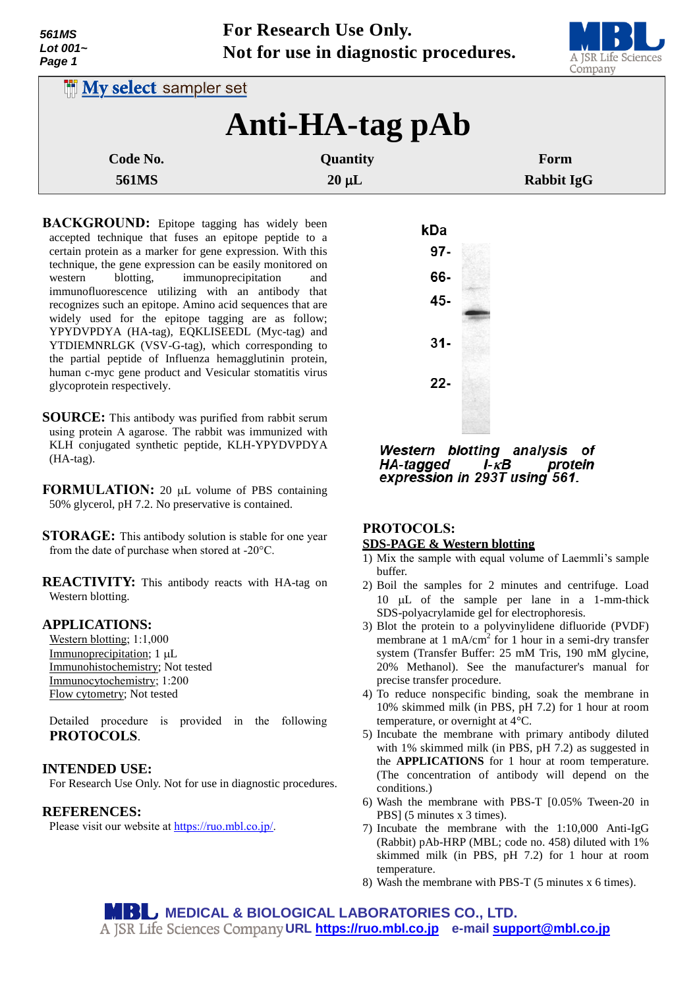| 561MS<br>Lot $001-$<br>Page 1 | For Research Use Only. | Not for use in diagnostic procedures. | A JSR Life Sciences<br>Company |
|-------------------------------|------------------------|---------------------------------------|--------------------------------|
| <b>INy select</b> sampler set |                        |                                       |                                |
|                               |                        | Anti-HA-tag pAb                       |                                |
| Code No.                      |                        | Quantity                              | Form                           |
| <b>561MS</b>                  |                        | $20 \mu L$                            | <b>Rabbit IgG</b>              |

- **BACKGROUND:** Epitope tagging has widely been accepted technique that fuses an epitope peptide to a certain protein as a marker for gene expression. With this technique, the gene expression can be easily monitored on western blotting, immunoprecipitation and immunofluorescence utilizing with an antibody that recognizes such an epitope. Amino acid sequences that are widely used for the epitope tagging are as follow; YPYDVPDYA (HA-tag), EQKLISEEDL (Myc-tag) and YTDIEMNRLGK (VSV-G-tag), which corresponding to the partial peptide of Influenza hemagglutinin protein, human c-myc gene product and Vesicular stomatitis virus glycoprotein respectively.
- **SOURCE:** This antibody was purified from rabbit serum using protein A agarose. The rabbit was immunized with KLH conjugated synthetic peptide, KLH-YPYDVPDYA (HA-tag).
- **FORMULATION:** 20 µL volume of PBS containing 50% glycerol, pH 7.2. No preservative is contained.
- **STORAGE:** This antibody solution is stable for one year from the date of purchase when stored at -20°C.
- **REACTIVITY:** This antibody reacts with HA-tag on Western blotting.

#### **APPLICATIONS:**

Western blotting; 1:1,000 Immunoprecipitation; 1 µL Immunohistochemistry; Not tested Immunocytochemistry; 1:200 Flow cytometry; Not tested

Detailed procedure is provided in the following **PROTOCOLS**.

#### **INTENDED USE:**

For Research Use Only. Not for use in diagnostic procedures.

#### **REFERENCES:**

Please visit our website at [https://ruo.mbl.co.jp/.](https://ruo.mbl.co.jp/)



Western blotting analysis of protein **HA-tagged**  $I - \kappa B$ expression in 293T using 561.

# **PROTOCOLS:**

## **SDS-PAGE & Western blotting**

- 1) Mix the sample with equal volume of Laemmli's sample buffer.
- 2) Boil the samples for 2 minutes and centrifuge. Load 10  $\mu$ L of the sample per lane in a 1-mm-thick SDS-polyacrylamide gel for electrophoresis.
- 3) Blot the protein to a polyvinylidene difluoride (PVDF) membrane at 1 mA/cm<sup>2</sup> for 1 hour in a semi-dry transfer system (Transfer Buffer: 25 mM Tris, 190 mM glycine, 20% Methanol). See the manufacturer's manual for precise transfer procedure.
- 4) To reduce nonspecific binding, soak the membrane in 10% skimmed milk (in PBS, pH 7.2) for 1 hour at room temperature, or overnight at 4°C.
- 5) Incubate the membrane with primary antibody diluted with 1% skimmed milk (in PBS, pH 7.2) as suggested in the **APPLICATIONS** for 1 hour at room temperature. (The concentration of antibody will depend on the conditions.)
- 6) Wash the membrane with PBS-T [0.05% Tween-20 in PBS] (5 minutes x 3 times).
- 7) Incubate the membrane with the 1:10,000 Anti-IgG (Rabbit) pAb-HRP (MBL; code no. 458) diluted with 1% skimmed milk (in PBS, pH 7.2) for 1 hour at room temperature.
- 8) Wash the membrane with PBS-T (5 minutes x 6 times).

**MBU MEDICAL & BIOLOGICAL LABORATORIES CO., LTD. URL [https://ruo.mbl.co.jp](https://ruo.mbl.co.jp/) e-mail [support@mbl.co.jp](mailto:support@mbl.co.jp)**